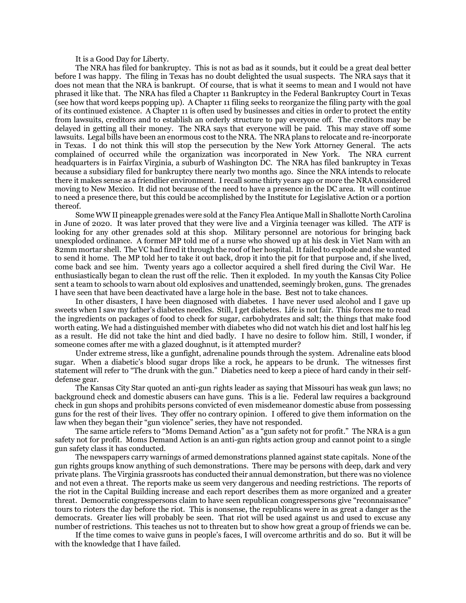It is a Good Day for Liberty.

The NRA has filed for bankruptcy. This is not as bad as it sounds, but it could be a great deal better before I was happy. The filing in Texas has no doubt delighted the usual suspects. The NRA says that it does not mean that the NRA is bankrupt. Of course, that is what it seems to mean and I would not have phrased it like that. The NRA has filed a Chapter 11 Bankruptcy in the Federal Bankruptcy Court in Texas (see how that word keeps popping up). A Chapter 11 filing seeks to reorganize the filing party with the goal of its continued existence. A Chapter 11 is often used by businesses and cities in order to protect the entity from lawsuits, creditors and to establish an orderly structure to pay everyone off. The creditors may be delayed in getting all their money. The NRA says that everyone will be paid. This may stave off some lawsuits. Legal bills have been an enormous cost to the NRA. The NRA plans to relocate and re-incorporate in Texas. I do not think this will stop the persecution by the New York Attorney General. The acts complained of occurred while the organization was incorporated in New York. The NRA current headquarters is in Fairfax Virginia, a suburb of Washington DC. The NRA has filed bankruptcy in Texas because a subsidiary filed for bankruptcy there nearly two months ago. Since the NRA intends to relocate there it makes sense as a friendlier environment. I recall some thirty years ago or more the NRA considered moving to New Mexico. It did not because of the need to have a presence in the DC area. It will continue to need a presence there, but this could be accomplished by the Institute for Legislative Action or a portion thereof.

Some WW II pineapple grenades were sold at the Fancy Flea Antique Mall in Shallotte North Carolina in June of 2020. It was later proved that they were live and a Virginia teenager was killed. The ATF is looking for any other grenades sold at this shop. Military personnel are notorious for bringing back unexploded ordinance. A former MP told me of a nurse who showed up at his desk in Viet Nam with an 82mm mortar shell. The VC had fired it through the roof of her hospital. It failed to explode and she wanted to send it home. The MP told her to take it out back, drop it into the pit for that purpose and, if she lived, come back and see him. Twenty years ago a collector acquired a shell fired during the Civil War. He enthusiastically began to clean the rust off the relic. Then it exploded. In my youth the Kansas City Police sent a team to schools to warn about old explosives and unattended, seemingly broken, guns. The grenades I have seen that have been deactivated have a large hole in the base. Best not to take chances.

In other disasters, I have been diagnosed with diabetes. I have never used alcohol and I gave up sweets when I saw my father's diabetes needles. Still, I get diabetes. Life is not fair. This forces me to read the ingredients on packages of food to check for sugar, carbohydrates and salt; the things that make food worth eating. We had a distinguished member with diabetes who did not watch his diet and lost half his leg as a result. He did not take the hint and died badly. I have no desire to follow him. Still, I wonder, if someone comes after me with a glazed doughnut, is it attempted murder?

Under extreme stress, like a gunfight, adrenaline pounds through the system. Adrenaline eats blood sugar. When a diabetic's blood sugar drops like a rock, he appears to be drunk. The witnesses first statement will refer to "The drunk with the gun." Diabetics need to keep a piece of hard candy in their selfdefense gear.

The Kansas City Star quoted an anti-gun rights leader as saying that Missouri has weak gun laws; no background check and domestic abusers can have guns. This is a lie. Federal law requires a background check in gun shops and prohibits persons convicted of even misdemeanor domestic abuse from possessing guns for the rest of their lives. They offer no contrary opinion. I offered to give them information on the law when they began their "gun violence" series, they have not responded.

The same article refers to "Moms Demand Action" as a "gun safety not for profit." The NRA is a gun safety not for profit. Moms Demand Action is an anti-gun rights action group and cannot point to a single gun safety class it has conducted.

The newspapers carry warnings of armed demonstrations planned against state capitals. None of the gun rights groups know anything of such demonstrations. There may be persons with deep, dark and very private plans. The Virginia grassroots has conducted their annual demonstration, but there was no violence and not even a threat. The reports make us seem very dangerous and needing restrictions. The reports of the riot in the Capital Building increase and each report describes them as more organized and a greater threat. Democratic congresspersons claim to have seen republican congresspersons give "reconnaissance" tours to rioters the day before the riot. This is nonsense, the republicans were in as great a danger as the democrats. Greater lies will probably be seen. That riot will be used against us and used to excuse any number of restrictions. This teaches us not to threaten but to show how great a group of friends we can be.

If the time comes to waive guns in people's faces, I will overcome arthritis and do so. But it will be with the knowledge that I have failed.